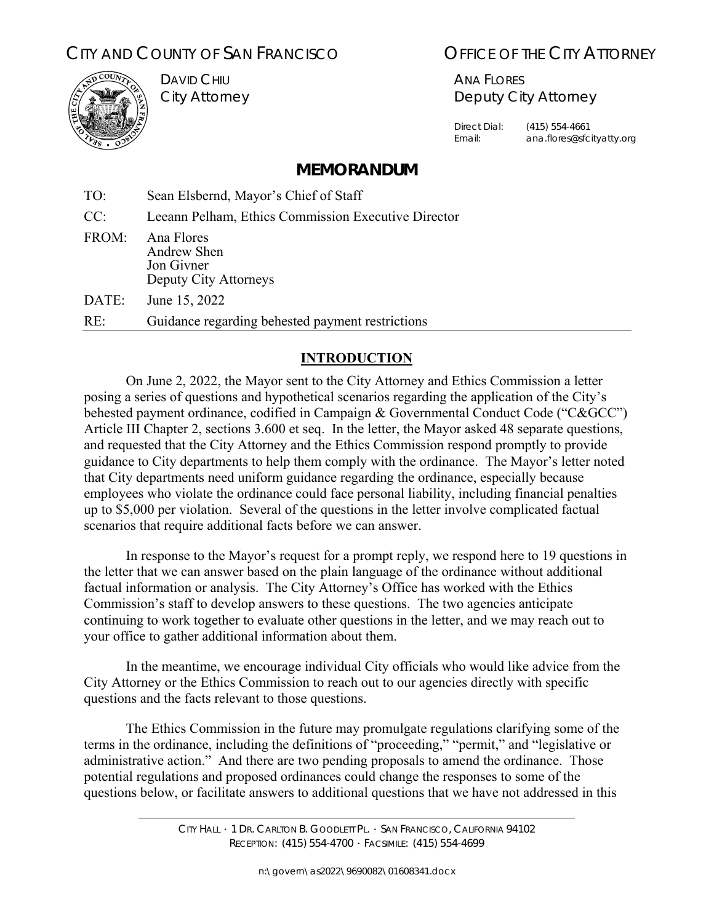# CITY AND COUNTY OF SAN FRANCISCO **COUNTY ALL CITY ATTORNEY**



DAVID CHIU City Attorney

ANA FLORES Deputy City Attorney

Direct Dial: (415) 554-4661 Email: ana.flores@sfcityatty.org

## **MEMORANDUM**

TO: Sean Elsbernd, Mayor's Chief of Staff CC: Leeann Pelham, Ethics Commission Executive Director FROM: Ana Flores Andrew Shen Jon Givner Deputy City Attorneys DATE: June 15, 2022 RE: Guidance regarding behested payment restrictions

## **INTRODUCTION**

On June 2, 2022, the Mayor sent to the City Attorney and Ethics Commission a letter posing a series of questions and hypothetical scenarios regarding the application of the City's behested payment ordinance, codified in Campaign & Governmental Conduct Code ("C&GCC") Article III Chapter 2, sections 3.600 et seq. In the letter, the Mayor asked 48 separate questions, and requested that the City Attorney and the Ethics Commission respond promptly to provide guidance to City departments to help them comply with the ordinance. The Mayor's letter noted that City departments need uniform guidance regarding the ordinance, especially because employees who violate the ordinance could face personal liability, including financial penalties up to \$5,000 per violation. Several of the questions in the letter involve complicated factual scenarios that require additional facts before we can answer.

In response to the Mayor's request for a prompt reply, we respond here to 19 questions in the letter that we can answer based on the plain language of the ordinance without additional factual information or analysis. The City Attorney's Office has worked with the Ethics Commission's staff to develop answers to these questions. The two agencies anticipate continuing to work together to evaluate other questions in the letter, and we may reach out to your office to gather additional information about them.

In the meantime, we encourage individual City officials who would like advice from the City Attorney or the Ethics Commission to reach out to our agencies directly with specific questions and the facts relevant to those questions.

The Ethics Commission in the future may promulgate regulations clarifying some of the terms in the ordinance, including the definitions of "proceeding," "permit," and "legislative or administrative action." And there are two pending proposals to amend the ordinance. Those potential regulations and proposed ordinances could change the responses to some of the questions below, or facilitate answers to additional questions that we have not addressed in this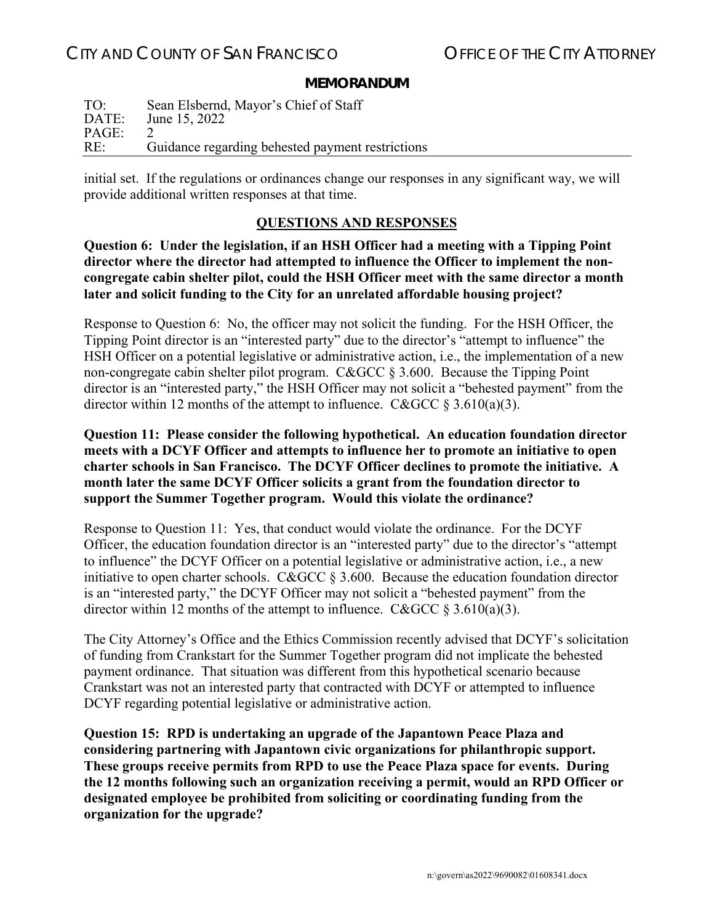#### **MEMORANDUM**

| TO:   | Sean Elsbernd, Mayor's Chief of Staff            |
|-------|--------------------------------------------------|
| DATE: | June 15, 2022                                    |
| PAGE: |                                                  |
| RE:   | Guidance regarding behested payment restrictions |

initial set. If the regulations or ordinances change our responses in any significant way, we will provide additional written responses at that time.

## **QUESTIONS AND RESPONSES**

**Question 6: Under the legislation, if an HSH Officer had a meeting with a Tipping Point director where the director had attempted to influence the Officer to implement the noncongregate cabin shelter pilot, could the HSH Officer meet with the same director a month later and solicit funding to the City for an unrelated affordable housing project?** 

Response to Question 6: No, the officer may not solicit the funding. For the HSH Officer, the Tipping Point director is an "interested party" due to the director's "attempt to influence" the HSH Officer on a potential legislative or administrative action, i.e., the implementation of a new non-congregate cabin shelter pilot program. C&GCC § 3.600. Because the Tipping Point director is an "interested party," the HSH Officer may not solicit a "behested payment" from the director within 12 months of the attempt to influence. C&GCC  $\S 3.610(a)(3)$ .

**Question 11: Please consider the following hypothetical. An education foundation director meets with a DCYF Officer and attempts to influence her to promote an initiative to open charter schools in San Francisco. The DCYF Officer declines to promote the initiative. A month later the same DCYF Officer solicits a grant from the foundation director to support the Summer Together program. Would this violate the ordinance?** 

Response to Question 11: Yes, that conduct would violate the ordinance. For the DCYF Officer, the education foundation director is an "interested party" due to the director's "attempt to influence" the DCYF Officer on a potential legislative or administrative action, i.e., a new initiative to open charter schools. C&GCC § 3.600. Because the education foundation director is an "interested party," the DCYF Officer may not solicit a "behested payment" from the director within 12 months of the attempt to influence. C&GCC  $\S 3.610(a)(3)$ .

The City Attorney's Office and the Ethics Commission recently advised that DCYF's solicitation of funding from Crankstart for the Summer Together program did not implicate the behested payment ordinance. That situation was different from this hypothetical scenario because Crankstart was not an interested party that contracted with DCYF or attempted to influence DCYF regarding potential legislative or administrative action.

**Question 15: RPD is undertaking an upgrade of the Japantown Peace Plaza and considering partnering with Japantown civic organizations for philanthropic support. These groups receive permits from RPD to use the Peace Plaza space for events. During the 12 months following such an organization receiving a permit, would an RPD Officer or designated employee be prohibited from soliciting or coordinating funding from the organization for the upgrade?**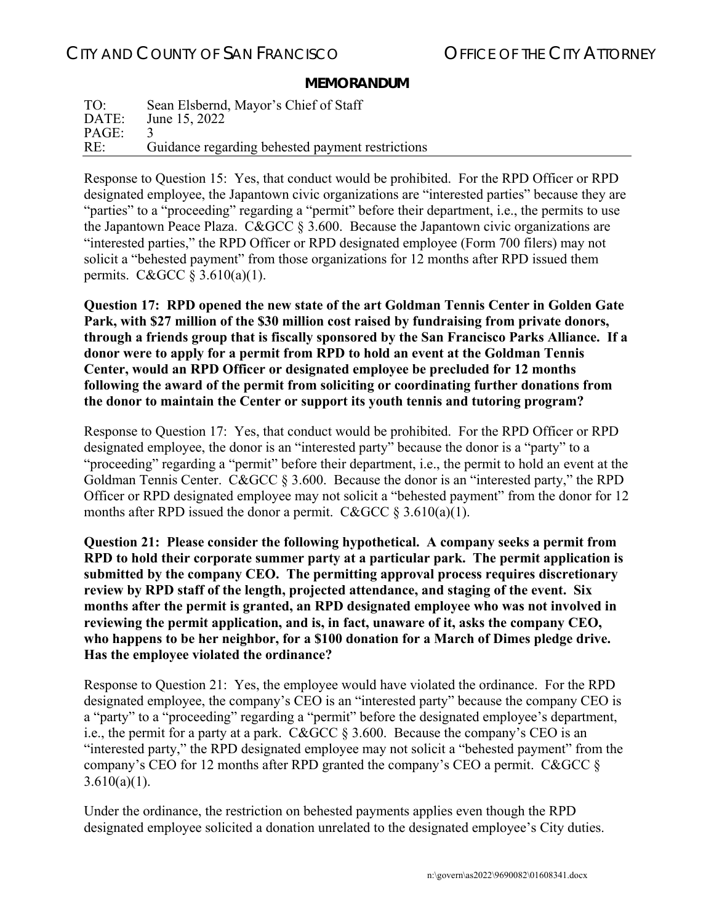## **MEMORANDUM**

| TO:   | Sean Elsbernd, Mayor's Chief of Staff            |
|-------|--------------------------------------------------|
| DATE: | June 15, 2022                                    |
| PAGE: |                                                  |
| RE:   | Guidance regarding behested payment restrictions |

Response to Question 15: Yes, that conduct would be prohibited. For the RPD Officer or RPD designated employee, the Japantown civic organizations are "interested parties" because they are "parties" to a "proceeding" regarding a "permit" before their department, i.e., the permits to use the Japantown Peace Plaza. C&GCC  $\S 3.600$ . Because the Japantown civic organizations are "interested parties," the RPD Officer or RPD designated employee (Form 700 filers) may not solicit a "behested payment" from those organizations for 12 months after RPD issued them permits. C&GCC  $\S 3.610(a)(1)$ .

**Question 17: RPD opened the new state of the art Goldman Tennis Center in Golden Gate Park, with \$27 million of the \$30 million cost raised by fundraising from private donors, through a friends group that is fiscally sponsored by the San Francisco Parks Alliance. If a donor were to apply for a permit from RPD to hold an event at the Goldman Tennis Center, would an RPD Officer or designated employee be precluded for 12 months following the award of the permit from soliciting or coordinating further donations from the donor to maintain the Center or support its youth tennis and tutoring program?**

Response to Question 17: Yes, that conduct would be prohibited. For the RPD Officer or RPD designated employee, the donor is an "interested party" because the donor is a "party" to a "proceeding" regarding a "permit" before their department, i.e., the permit to hold an event at the Goldman Tennis Center. C&GCC § 3.600. Because the donor is an "interested party," the RPD Officer or RPD designated employee may not solicit a "behested payment" from the donor for 12 months after RPD issued the donor a permit. C&GCC  $\S 3.610(a)(1)$ .

**Question 21: Please consider the following hypothetical. A company seeks a permit from RPD to hold their corporate summer party at a particular park. The permit application is submitted by the company CEO. The permitting approval process requires discretionary review by RPD staff of the length, projected attendance, and staging of the event. Six months after the permit is granted, an RPD designated employee who was not involved in reviewing the permit application, and is, in fact, unaware of it, asks the company CEO, who happens to be her neighbor, for a \$100 donation for a March of Dimes pledge drive. Has the employee violated the ordinance?** 

Response to Question 21: Yes, the employee would have violated the ordinance. For the RPD designated employee, the company's CEO is an "interested party" because the company CEO is a "party" to a "proceeding" regarding a "permit" before the designated employee's department, i.e., the permit for a party at a park. C&GCC § 3.600. Because the company's CEO is an "interested party," the RPD designated employee may not solicit a "behested payment" from the company's CEO for 12 months after RPD granted the company's CEO a permit. C&GCC §  $3.610(a)(1)$ .

Under the ordinance, the restriction on behested payments applies even though the RPD designated employee solicited a donation unrelated to the designated employee's City duties.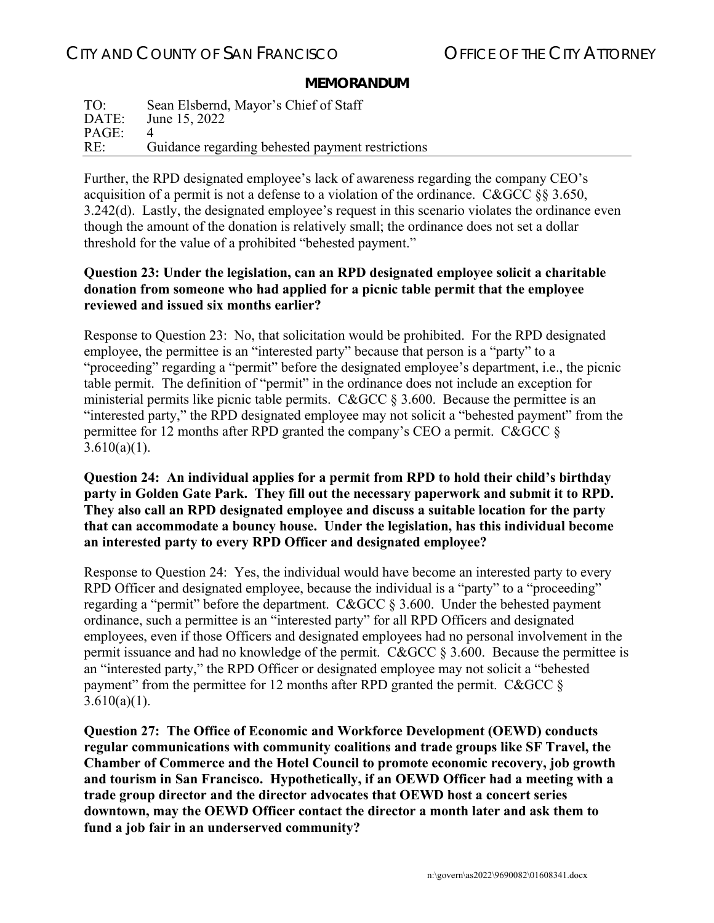#### **MEMORANDUM**

TO: Sean Elsbernd, Mayor's Chief of Staff<br>DATE: June 15, 2022 June 15, 2022 PAGE: 4 RE: Guidance regarding behested payment restrictions

Further, the RPD designated employee's lack of awareness regarding the company CEO's acquisition of a permit is not a defense to a violation of the ordinance. C&GCC §§ 3.650, 3.242(d). Lastly, the designated employee's request in this scenario violates the ordinance even though the amount of the donation is relatively small; the ordinance does not set a dollar threshold for the value of a prohibited "behested payment."

## **Question 23: Under the legislation, can an RPD designated employee solicit a charitable donation from someone who had applied for a picnic table permit that the employee reviewed and issued six months earlier?**

Response to Question 23: No, that solicitation would be prohibited. For the RPD designated employee, the permittee is an "interested party" because that person is a "party" to a "proceeding" regarding a "permit" before the designated employee's department, i.e., the picnic table permit. The definition of "permit" in the ordinance does not include an exception for ministerial permits like picnic table permits. C&GCC § 3.600. Because the permittee is an "interested party," the RPD designated employee may not solicit a "behested payment" from the permittee for 12 months after RPD granted the company's CEO a permit. C&GCC §  $3.610(a)(1)$ .

## **Question 24: An individual applies for a permit from RPD to hold their child's birthday party in Golden Gate Park. They fill out the necessary paperwork and submit it to RPD. They also call an RPD designated employee and discuss a suitable location for the party that can accommodate a bouncy house. Under the legislation, has this individual become an interested party to every RPD Officer and designated employee?**

Response to Question 24: Yes, the individual would have become an interested party to every RPD Officer and designated employee, because the individual is a "party" to a "proceeding" regarding a "permit" before the department. C&GCC § 3.600. Under the behested payment ordinance, such a permittee is an "interested party" for all RPD Officers and designated employees, even if those Officers and designated employees had no personal involvement in the permit issuance and had no knowledge of the permit. C&GCC § 3.600. Because the permittee is an "interested party," the RPD Officer or designated employee may not solicit a "behested payment" from the permittee for 12 months after RPD granted the permit. C&GCC  $\S$  $3.610(a)(1)$ .

**Question 27: The Office of Economic and Workforce Development (OEWD) conducts regular communications with community coalitions and trade groups like SF Travel, the Chamber of Commerce and the Hotel Council to promote economic recovery, job growth and tourism in San Francisco. Hypothetically, if an OEWD Officer had a meeting with a trade group director and the director advocates that OEWD host a concert series downtown, may the OEWD Officer contact the director a month later and ask them to fund a job fair in an underserved community?**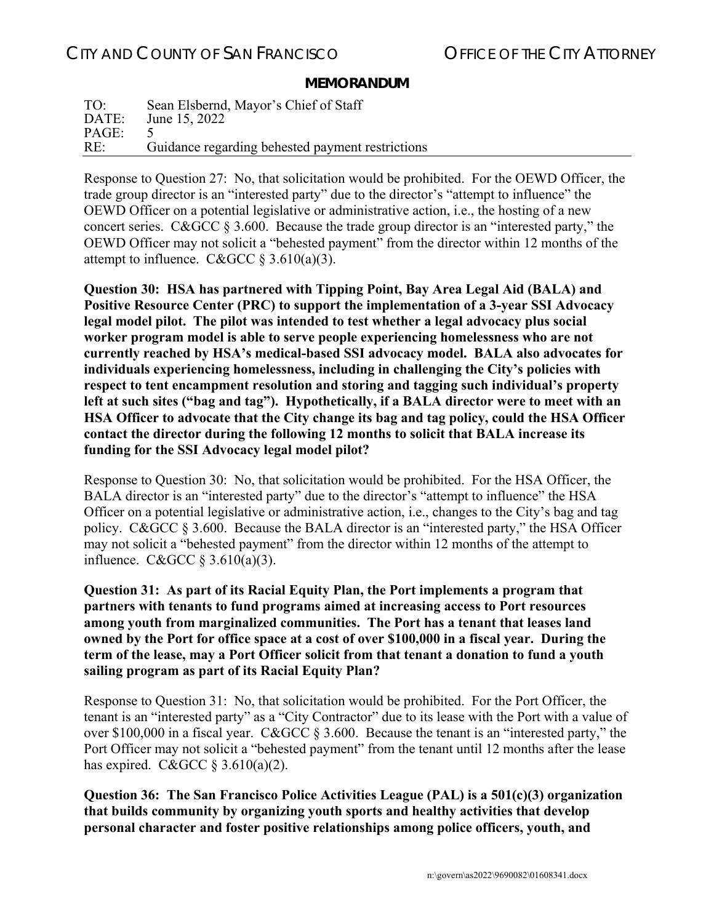#### **MEMORANDUM**

TO: Sean Elsbernd, Mayor's Chief of Staff<br>DATE: June 15, 2022 June 15, 2022 PAGE: 5 RE: Guidance regarding behested payment restrictions

Response to Question 27: No, that solicitation would be prohibited. For the OEWD Officer, the trade group director is an "interested party" due to the director's "attempt to influence" the OEWD Officer on a potential legislative or administrative action, i.e., the hosting of a new concert series. C&GCC § 3.600. Because the trade group director is an "interested party," the OEWD Officer may not solicit a "behested payment" from the director within 12 months of the attempt to influence. C&GCC  $\frac{$3.610(a)(3)}{3.610(a)(3)}$ .

**Question 30: HSA has partnered with Tipping Point, Bay Area Legal Aid (BALA) and Positive Resource Center (PRC) to support the implementation of a 3-year SSI Advocacy legal model pilot. The pilot was intended to test whether a legal advocacy plus social worker program model is able to serve people experiencing homelessness who are not currently reached by HSA's medical-based SSI advocacy model. BALA also advocates for individuals experiencing homelessness, including in challenging the City's policies with respect to tent encampment resolution and storing and tagging such individual's property left at such sites ("bag and tag"). Hypothetically, if a BALA director were to meet with an HSA Officer to advocate that the City change its bag and tag policy, could the HSA Officer contact the director during the following 12 months to solicit that BALA increase its funding for the SSI Advocacy legal model pilot?** 

Response to Question 30: No, that solicitation would be prohibited. For the HSA Officer, the BALA director is an "interested party" due to the director's "attempt to influence" the HSA Officer on a potential legislative or administrative action, i.e., changes to the City's bag and tag policy. C&GCC § 3.600. Because the BALA director is an "interested party," the HSA Officer may not solicit a "behested payment" from the director within 12 months of the attempt to influence. C&GCC § 3.610(a)(3).

**Question 31: As part of its Racial Equity Plan, the Port implements a program that partners with tenants to fund programs aimed at increasing access to Port resources among youth from marginalized communities. The Port has a tenant that leases land owned by the Port for office space at a cost of over \$100,000 in a fiscal year. During the term of the lease, may a Port Officer solicit from that tenant a donation to fund a youth sailing program as part of its Racial Equity Plan?** 

Response to Question 31: No, that solicitation would be prohibited. For the Port Officer, the tenant is an "interested party" as a "City Contractor" due to its lease with the Port with a value of over \$100,000 in a fiscal year. C&GCC § 3.600. Because the tenant is an "interested party," the Port Officer may not solicit a "behested payment" from the tenant until 12 months after the lease has expired. C&GCC  $\S 3.610(a)(2)$ .

**Question 36: The San Francisco Police Activities League (PAL) is a 501(c)(3) organization that builds community by organizing youth sports and healthy activities that develop personal character and foster positive relationships among police officers, youth, and**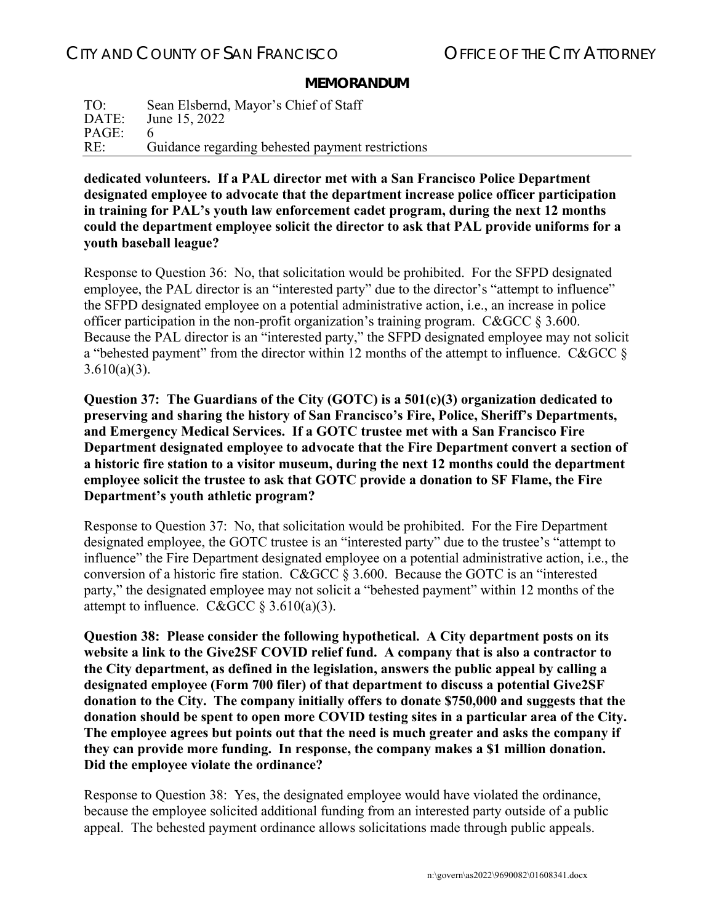#### **MEMORANDUM**

TO: Sean Elsbernd, Mayor's Chief of Staff<br>DATE: June 15, 2022 June 15, 2022 PAGE: 6 RE: Guidance regarding behested payment restrictions

**dedicated volunteers. If a PAL director met with a San Francisco Police Department designated employee to advocate that the department increase police officer participation in training for PAL's youth law enforcement cadet program, during the next 12 months could the department employee solicit the director to ask that PAL provide uniforms for a youth baseball league?** 

Response to Question 36: No, that solicitation would be prohibited. For the SFPD designated employee, the PAL director is an "interested party" due to the director's "attempt to influence" the SFPD designated employee on a potential administrative action, i.e., an increase in police officer participation in the non-profit organization's training program. C&GCC § 3.600. Because the PAL director is an "interested party," the SFPD designated employee may not solicit a "behested payment" from the director within 12 months of the attempt to influence. C&GCC  $\delta$  $3.610(a)(3)$ .

**Question 37: The Guardians of the City (GOTC) is a 501(c)(3) organization dedicated to preserving and sharing the history of San Francisco's Fire, Police, Sheriff's Departments, and Emergency Medical Services. If a GOTC trustee met with a San Francisco Fire Department designated employee to advocate that the Fire Department convert a section of a historic fire station to a visitor museum, during the next 12 months could the department employee solicit the trustee to ask that GOTC provide a donation to SF Flame, the Fire Department's youth athletic program?**

Response to Question 37: No, that solicitation would be prohibited. For the Fire Department designated employee, the GOTC trustee is an "interested party" due to the trustee's "attempt to influence" the Fire Department designated employee on a potential administrative action, i.e., the conversion of a historic fire station. C&GCC § 3.600. Because the GOTC is an "interested party," the designated employee may not solicit a "behested payment" within 12 months of the attempt to influence. C&GCC  $\S 3.610(a)(3)$ .

**Question 38: Please consider the following hypothetical. A City department posts on its website a link to the Give2SF COVID relief fund. A company that is also a contractor to the City department, as defined in the legislation, answers the public appeal by calling a designated employee (Form 700 filer) of that department to discuss a potential Give2SF donation to the City. The company initially offers to donate \$750,000 and suggests that the donation should be spent to open more COVID testing sites in a particular area of the City. The employee agrees but points out that the need is much greater and asks the company if they can provide more funding. In response, the company makes a \$1 million donation. Did the employee violate the ordinance?**

Response to Question 38: Yes, the designated employee would have violated the ordinance, because the employee solicited additional funding from an interested party outside of a public appeal. The behested payment ordinance allows solicitations made through public appeals.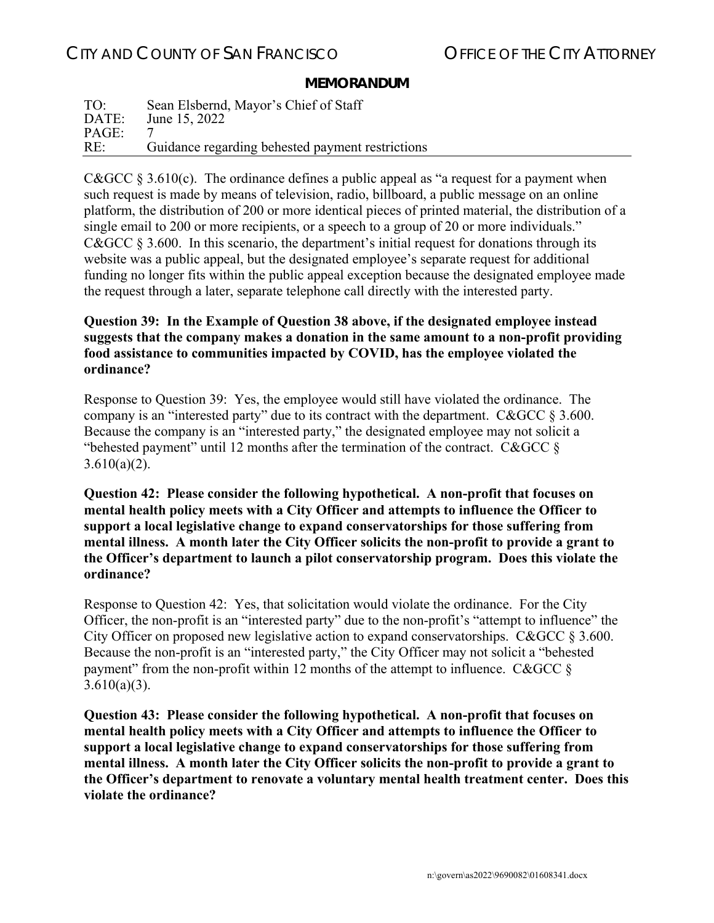### **MEMORANDUM**

| TO:   | Sean Elsbernd, Mayor's Chief of Staff            |
|-------|--------------------------------------------------|
| DATE: | June 15, 2022                                    |
| PAGE: |                                                  |
| RE:   | Guidance regarding behested payment restrictions |

C&GCC  $\S 3.610(c)$ . The ordinance defines a public appeal as "a request for a payment when such request is made by means of television, radio, billboard, a public message on an online platform, the distribution of 200 or more identical pieces of printed material, the distribution of a single email to 200 or more recipients, or a speech to a group of 20 or more individuals." C&GCC § 3.600. In this scenario, the department's initial request for donations through its website was a public appeal, but the designated employee's separate request for additional funding no longer fits within the public appeal exception because the designated employee made the request through a later, separate telephone call directly with the interested party.

## **Question 39: In the Example of Question 38 above, if the designated employee instead suggests that the company makes a donation in the same amount to a non-profit providing food assistance to communities impacted by COVID, has the employee violated the ordinance?**

Response to Question 39: Yes, the employee would still have violated the ordinance. The company is an "interested party" due to its contract with the department. C&GCC § 3.600. Because the company is an "interested party," the designated employee may not solicit a "behested payment" until 12 months after the termination of the contract. C&GCC  $\S$  $3.610(a)(2)$ .

**Question 42: Please consider the following hypothetical. A non-profit that focuses on mental health policy meets with a City Officer and attempts to influence the Officer to support a local legislative change to expand conservatorships for those suffering from mental illness. A month later the City Officer solicits the non-profit to provide a grant to the Officer's department to launch a pilot conservatorship program. Does this violate the ordinance?**

Response to Question 42: Yes, that solicitation would violate the ordinance. For the City Officer, the non-profit is an "interested party" due to the non-profit's "attempt to influence" the City Officer on proposed new legislative action to expand conservatorships. C&GCC § 3.600. Because the non-profit is an "interested party," the City Officer may not solicit a "behested payment" from the non-profit within 12 months of the attempt to influence. C&GCC §  $3.610(a)(3)$ .

**Question 43: Please consider the following hypothetical. A non-profit that focuses on mental health policy meets with a City Officer and attempts to influence the Officer to support a local legislative change to expand conservatorships for those suffering from mental illness. A month later the City Officer solicits the non-profit to provide a grant to the Officer's department to renovate a voluntary mental health treatment center. Does this violate the ordinance?**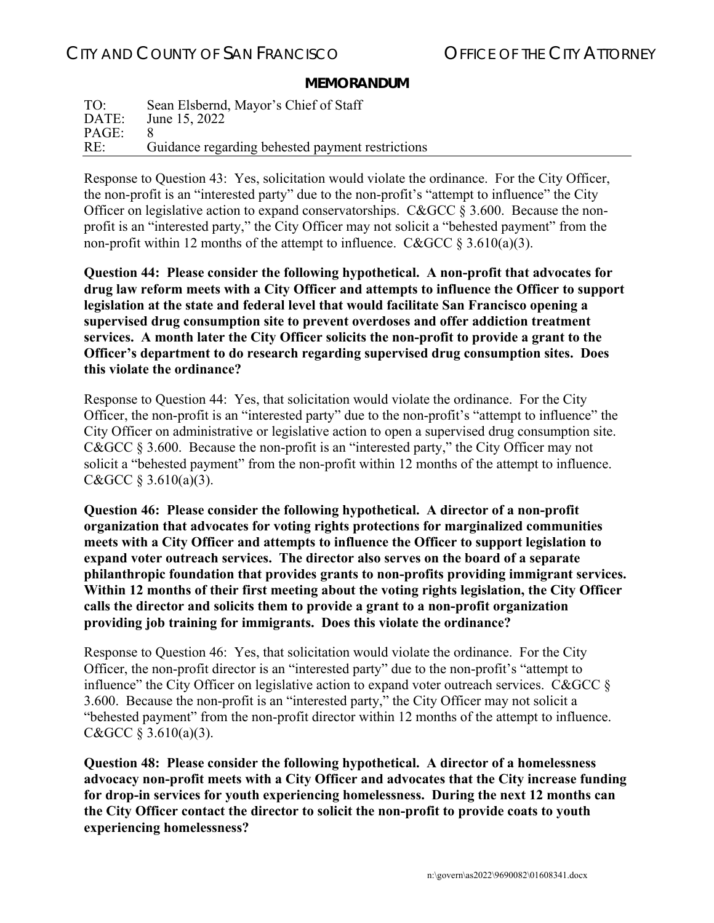## **MEMORANDUM**

| TO:   | Sean Elsbernd, Mayor's Chief of Staff            |
|-------|--------------------------------------------------|
| DATE: | June 15, 2022                                    |
| PAGE: |                                                  |
| RE:   | Guidance regarding behested payment restrictions |

Response to Question 43: Yes, solicitation would violate the ordinance. For the City Officer, the non-profit is an "interested party" due to the non-profit's "attempt to influence" the City Officer on legislative action to expand conservatorships. C&GCC § 3.600. Because the nonprofit is an "interested party," the City Officer may not solicit a "behested payment" from the non-profit within 12 months of the attempt to influence. C&GCC § 3.610(a)(3).

**Question 44: Please consider the following hypothetical. A non-profit that advocates for drug law reform meets with a City Officer and attempts to influence the Officer to support legislation at the state and federal level that would facilitate San Francisco opening a supervised drug consumption site to prevent overdoses and offer addiction treatment services. A month later the City Officer solicits the non-profit to provide a grant to the Officer's department to do research regarding supervised drug consumption sites. Does this violate the ordinance?**

Response to Question 44: Yes, that solicitation would violate the ordinance. For the City Officer, the non-profit is an "interested party" due to the non-profit's "attempt to influence" the City Officer on administrative or legislative action to open a supervised drug consumption site. C&GCC § 3.600. Because the non-profit is an "interested party," the City Officer may not solicit a "behested payment" from the non-profit within 12 months of the attempt to influence. C&GCC  $§$  3.610(a)(3).

**Question 46: Please consider the following hypothetical. A director of a non-profit organization that advocates for voting rights protections for marginalized communities meets with a City Officer and attempts to influence the Officer to support legislation to expand voter outreach services. The director also serves on the board of a separate philanthropic foundation that provides grants to non-profits providing immigrant services. Within 12 months of their first meeting about the voting rights legislation, the City Officer calls the director and solicits them to provide a grant to a non-profit organization providing job training for immigrants. Does this violate the ordinance?**

Response to Question 46: Yes, that solicitation would violate the ordinance. For the City Officer, the non-profit director is an "interested party" due to the non-profit's "attempt to influence" the City Officer on legislative action to expand voter outreach services. C&GCC  $\S$ 3.600. Because the non-profit is an "interested party," the City Officer may not solicit a "behested payment" from the non-profit director within 12 months of the attempt to influence. C&GCC  $§$  3.610(a)(3).

**Question 48: Please consider the following hypothetical. A director of a homelessness advocacy non-profit meets with a City Officer and advocates that the City increase funding for drop-in services for youth experiencing homelessness. During the next 12 months can the City Officer contact the director to solicit the non-profit to provide coats to youth experiencing homelessness?**